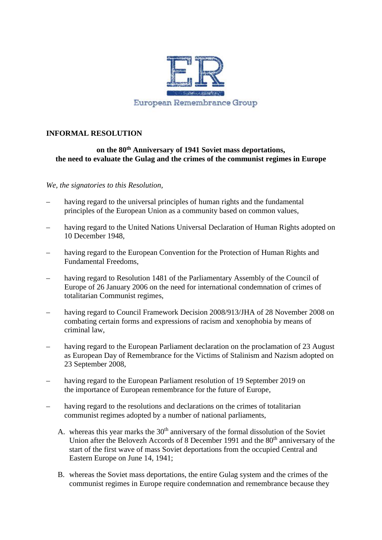

## **INFORMAL RESOLUTION**

## **on the 80th Anniversary of 1941 Soviet mass deportations, the need to evaluate the Gulag and the crimes of the communist regimes in Europe**

## *We, the signatories to this Resolution,*

- having regard to the universal principles of human rights and the fundamental principles of the European Union as a community based on common values,
- having regard to the United Nations Universal Declaration of Human Rights adopted on 10 December 1948,
- having regard to the European Convention for the Protection of Human Rights and Fundamental Freedoms,
- having regard to Resolution 1481 of the Parliamentary Assembly of the Council of Europe of 26 January 2006 on the need for international condemnation of crimes of totalitarian Communist regimes,
- having regard to Council Framework Decision 2008/913/JHA of 28 November 2008 on combating certain forms and expressions of racism and xenophobia by means of criminal law,
- having regard to the European Parliament declaration on the proclamation of 23 August as European Day of Remembrance for the Victims of Stalinism and Nazism adopted on 23 September 2008,
- having regard to the European Parliament resolution of 19 September 2019 on the importance of European remembrance for the future of Europe,
- having regard to the resolutions and declarations on the crimes of totalitarian communist regimes adopted by a number of national parliaments,
	- A. whereas this year marks the  $30<sup>th</sup>$  anniversary of the formal dissolution of the Soviet Union after the Belovezh Accords of 8 December 1991 and the 80<sup>th</sup> anniversary of the start of the first wave of mass Soviet deportations from the occupied Central and Eastern Europe on June 14, 1941;
	- B. whereas the Soviet mass deportations, the entire Gulag system and the crimes of the communist regimes in Europe require condemnation and remembrance because they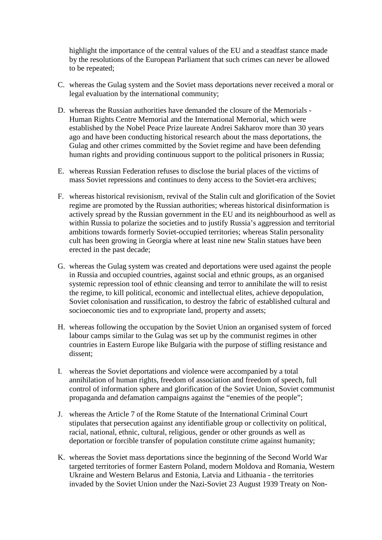highlight the importance of the central values of the EU and a steadfast stance made by the resolutions of the European Parliament that such crimes can never be allowed to be repeated;

- C. whereas the Gulag system and the Soviet mass deportations never received a moral or legal evaluation by the international community;
- D. whereas the Russian authorities have demanded the closure of the Memorials Human Rights Centre Memorial and the International Memorial, which were established by the Nobel Peace Prize laureate Andrei Sakharov more than 30 years ago and have been conducting historical research about the mass deportations, the Gulag and other crimes committed by the Soviet regime and have been defending human rights and providing continuous support to the political prisoners in Russia;
- E. whereas Russian Federation refuses to disclose the burial places of the victims of mass Soviet repressions and continues to deny access to the Soviet-era archives;
- F. whereas historical revisionism, revival of the Stalin cult and glorification of the Soviet regime are promoted by the Russian authorities; whereas historical disinformation is actively spread by the Russian government in the EU and its neighbourhood as well as within Russia to polarize the societies and to justify Russia's aggression and territorial ambitions towards formerly Soviet-occupied territories; whereas Stalin personality cult has been growing in Georgia where at least nine new Stalin statues have been erected in the past decade;
- G. whereas the Gulag system was created and deportations were used against the people in Russia and occupied countries, against social and ethnic groups, as an organised systemic repression tool of ethnic cleansing and terror to annihilate the will to resist the regime, to kill political, economic and intellectual elites, achieve depopulation, Soviet colonisation and russification, to destroy the fabric of established cultural and socioeconomic ties and to expropriate land, property and assets;
- H. whereas following the occupation by the Soviet Union an organised system of forced labour camps similar to the Gulag was set up by the communist regimes in other countries in Eastern Europe like Bulgaria with the purpose of stifling resistance and dissent;
- I. whereas the Soviet deportations and violence were accompanied by a total annihilation of human rights, freedom of association and freedom of speech, full control of information sphere and glorification of the Soviet Union, Soviet communist propaganda and defamation campaigns against the "enemies of the people";
- J. whereas the Article 7 of the Rome Statute of the International Criminal Court stipulates that persecution against any identifiable group or collectivity on political, racial, national, ethnic, cultural, religious, gender or other grounds as well as deportation or forcible transfer of population constitute crime against humanity;
- K. whereas the Soviet mass deportations since the beginning of the Second World War targeted territories of former Eastern Poland, modern Moldova and Romania, Western Ukraine and Western Belarus and Estonia, Latvia and Lithuania - the territories invaded by the Soviet Union under the Nazi-Soviet 23 August 1939 Treaty on Non-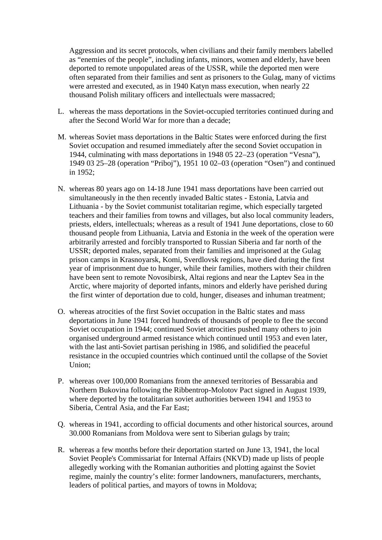Aggression and its secret protocols, when civilians and their family members labelled as "enemies of the people", including infants, minors, women and elderly, have been deported to remote unpopulated areas of the USSR, while the deported men were often separated from their families and sent as prisoners to the Gulag, many of victims were arrested and executed, as in 1940 Katyn mass execution, when nearly 22 thousand Polish military officers and intellectuals were massacred;

- L. whereas the mass deportations in the Soviet-occupied territories continued during and after the Second World War for more than a decade;
- M. whereas Soviet mass deportations in the Baltic States were enforced during the first Soviet occupation and resumed immediately after the second Soviet occupation in 1944, culminating with mass deportations in 1948 05 22–23 (operation "Vesna"), 1949 03 25–28 (operation "Priboj"), 1951 10 02–03 (operation "Osen") and continued in 1952;
- N. whereas 80 years ago on 14-18 June 1941 mass deportations have been carried out simultaneously in the then recently invaded Baltic states - Estonia, Latvia and Lithuania - by the Soviet communist totalitarian regime, which especially targeted teachers and their families from towns and villages, but also local community leaders, priests, elders, intellectuals; whereas as a result of 1941 June deportations, close to 60 thousand people from Lithuania, Latvia and Estonia in the week of the operation were arbitrarily arrested and forcibly transported to Russian Siberia and far north of the USSR; deported males, separated from their families and imprisoned at the Gulag prison camps in Krasnoyarsk, Komi, Sverdlovsk regions, have died during the first year of imprisonment due to hunger, while their families, mothers with their children have been sent to remote Novosibirsk, Altai regions and near the Laptev Sea in the Arctic, where majority of deported infants, minors and elderly have perished during the first winter of deportation due to cold, hunger, diseases and inhuman treatment;
- O. whereas atrocities of the first Soviet occupation in the Baltic states and mass deportations in June 1941 forced hundreds of thousands of people to flee the second Soviet occupation in 1944; continued Soviet atrocities pushed many others to join organised underground armed resistance which continued until 1953 and even later, with the last anti-Soviet partisan perishing in 1986, and solidified the peaceful resistance in the occupied countries which continued until the collapse of the Soviet Union;
- P. whereas over 100,000 Romanians from the annexed territories of Bessarabia and Northern Bukovina following the Ribbentrop-Molotov Pact signed in August 1939, where deported by the totalitarian soviet authorities between 1941 and 1953 to Siberia, Central Asia, and the Far East;
- Q. whereas in 1941, according to official documents and other historical sources, around 30.000 Romanians from Moldova were sent to Siberian gulags by train;
- R. whereas a few months before their deportation started on June 13, 1941, the local Soviet People's Commissariat for Internal Affairs (NKVD) made up lists of people allegedly working with the Romanian authorities and plotting against the Soviet regime, mainly the country's elite: former landowners, manufacturers, merchants, leaders of political parties, and mayors of towns in Moldova;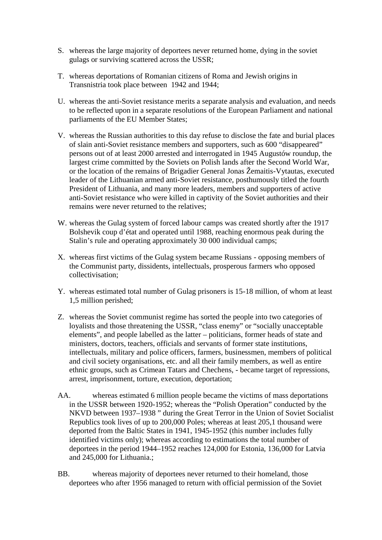- S. whereas the large majority of deportees never returned home, dying in the soviet gulags or surviving scattered across the USSR;
- T. whereas deportations of Romanian citizens of Roma and Jewish origins in Transnistria took place between 1942 and 1944;
- U. whereas the anti-Soviet resistance merits a separate analysis and evaluation, and needs to be reflected upon in a separate resolutions of the European Parliament and national parliaments of the EU Member States;
- V. whereas the Russian authorities to this day refuse to disclose the fate and burial places of slain anti-Soviet resistance members and supporters, such as 600 "disappeared" persons out of at least 2000 arrested and interrogated in 1945 Augustów roundup, the largest crime committed by the Soviets on Polish lands after the Second World War, or the location of the remains of Brigadier General Jonas Žemaitis-Vytautas, executed leader of the Lithuanian armed anti-Soviet resistance, posthumously titled the fourth President of Lithuania, and many more leaders, members and supporters of active anti-Soviet resistance who were killed in captivity of the Soviet authorities and their remains were never returned to the relatives;
- W. whereas the Gulag system of forced labour camps was created shortly after the 1917 Bolshevik coup d'état and operated until 1988, reaching enormous peak during the Stalin's rule and operating approximately 30 000 individual camps;
- X. whereas first victims of the Gulag system became Russians opposing members of the Communist party, dissidents, intellectuals, prosperous farmers who opposed collectivisation;
- Y. whereas estimated total number of Gulag prisoners is 15-18 million, of whom at least 1,5 million perished;
- Z. whereas the Soviet communist regime has sorted the people into two categories of loyalists and those threatening the USSR, "class enemy" or "socially unacceptable elements", and people labelled as the latter – politicians, former heads of state and ministers, doctors, teachers, officials and servants of former state institutions, intellectuals, military and police officers, farmers, businessmen, members of political and civil society organisations, etc. and all their family members, as well as entire ethnic groups, such as Crimean Tatars and Chechens, - became target of repressions, arrest, imprisonment, torture, execution, deportation;
- AA. whereas estimated 6 million people became the victims of mass deportations in the USSR between 1920-1952; whereas the "Polish Operation" conducted by the NKVD between 1937–1938 " during the Great Terror in the Union of Soviet Socialist Republics took lives of up to 200,000 Poles; whereas at least 205,1 thousand were deported from the Baltic States in 1941, 1945-1952 (this number includes fully identified victims only); whereas according to estimations the total number of deportees in the period 1944–1952 reaches 124,000 for Estonia, 136,000 for Latvia and 245,000 for Lithuania.;
- BB. whereas majority of deportees never returned to their homeland, those deportees who after 1956 managed to return with official permission of the Soviet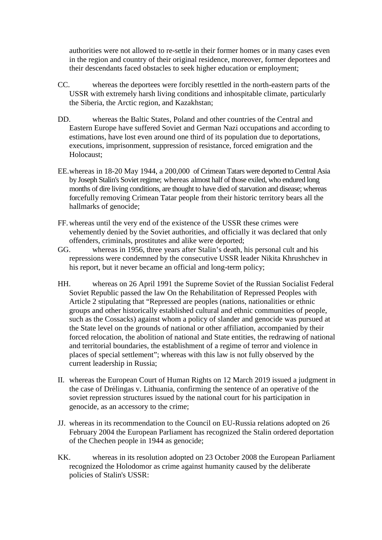authorities were not allowed to re-settle in their former homes or in many cases even in the region and country of their original residence, moreover, former deportees and their descendants faced obstacles to seek higher education or employment;

- CC. whereas the deportees were forcibly resettled in the north-eastern parts of the USSR with extremely harsh living conditions and inhospitable climate, particularly the Siberia, the Arctic region, and Kazakhstan;
- DD. whereas the Baltic States, Poland and other countries of the Central and Eastern Europe have suffered Soviet and German Nazi occupations and according to estimations, have lost even around one third of its population due to deportations, executions, imprisonment, suppression of resistance, forced emigration and the Holocaust;
- EE.whereas in 18-20 May 1944, a 200,000 of Crimean Tatars were deported to Central Asia by Joseph Stalin's Soviet regime; whereas almost half of those exiled, who endured long months of dire living conditions, are thought to have died of starvation and disease; whereas forcefully removing Crimean Tatar people from their historic territory bears all the hallmarks of genocide;
- FF. whereas until the very end of the existence of the USSR these crimes were vehemently denied by the Soviet authorities, and officially it was declared that only offenders, criminals, prostitutes and alike were deported;
- GG. whereas in 1956, three years after Stalin's death, his personal cult and his repressions were condemned by the consecutive USSR leader Nikita Khrushchev in his report, but it never became an official and long-term policy;
- HH. whereas on 26 April 1991 the Supreme Soviet of the Russian Socialist Federal Soviet Republic passed the law On the Rehabilitation of Repressed Peoples with Article 2 stipulating that "Repressed are peoples (nations, nationalities or ethnic groups and other historically established cultural and ethnic communities of people, such as the Cossacks) against whom a policy of slander and genocide was pursued at the State level on the grounds of national or other affiliation, accompanied by their forced relocation, the abolition of national and State entities, the redrawing of national and territorial boundaries, the establishment of a regime of terror and violence in places of special settlement"; whereas with this law is not fully observed by the current leadership in Russia;
- II. whereas the European Court of Human Rights on 12 March 2019 issued a judgment in the case of Dr lingas v. Lithuania, confirming the sentence of an operative of the soviet repression structures issued by the national court for his participation in genocide, as an accessory to the crime;
- JJ. whereas in its recommendation to the Council on EU-Russia relations adopted on 26 February 2004 the European Parliament has recognized the Stalin ordered deportation of the Chechen people in 1944 as genocide;
- KK. whereas in its resolution adopted on 23 October 2008 the European Parliament recognized the Holodomor as crime against humanity caused by the deliberate policies of Stalin's USSR: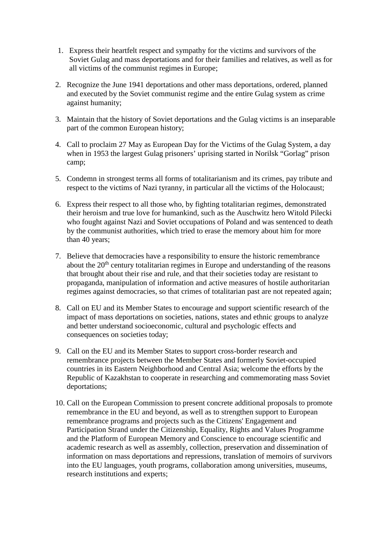- 1. Express their heartfelt respect and sympathy for the victims and survivors of the Soviet Gulag and mass deportations and for their families and relatives, as well as for all victims of the communist regimes in Europe;
- 2. Recognize the June 1941 deportations and other mass deportations, ordered, planned and executed by the Soviet communist regime and the entire Gulag system as crime against humanity;
- 3. Maintain that the history of Soviet deportations and the Gulag victims is an inseparable part of the common European history;
- 4. Call to proclaim 27 May as European Day for the Victims of the Gulag System, a day when in 1953 the largest Gulag prisoners' uprising started in Norilsk "Gorlag" prison camp;
- 5. Condemn in strongest terms all forms of totalitarianism and its crimes, pay tribute and respect to the victims of Nazi tyranny, in particular all the victims of the Holocaust;
- 6. Express their respect to all those who, by fighting totalitarian regimes, demonstrated their heroism and true love for humankind, such as the Auschwitz hero Witold Pilecki who fought against Nazi and Soviet occupations of Poland and was sentenced to death by the communist authorities, which tried to erase the memory about him for more than 40 years;
- 7. Believe that democracies have a responsibility to ensure the historic remembrance about the  $20<sup>th</sup>$  century totalitarian regimes in Europe and understanding of the reasons that brought about their rise and rule, and that their societies today are resistant to propaganda, manipulation of information and active measures of hostile authoritarian regimes against democracies, so that crimes of totalitarian past are not repeated again;
- 8. Call on EU and its Member States to encourage and support scientific research of the impact of mass deportations on societies, nations, states and ethnic groups to analyze and better understand socioeconomic, cultural and psychologic effects and consequences on societies today;
- 9. Call on the EU and its Member States to support cross-border research and remembrance projects between the Member States and formerly Soviet-occupied countries in its Eastern Neighborhood and Central Asia; welcome the efforts by the Republic of Kazakhstan to cooperate in researching and commemorating mass Soviet deportations;
- 10. Call on the European Commission to present concrete additional proposals to promote remembrance in the EU and beyond, as well as to strengthen support to European remembrance programs and projects such as the Citizens' Engagement and Participation Strand under the Citizenship, Equality, Rights and Values Programme and the Platform of European Memory and Conscience to encourage scientific and academic research as well as assembly, collection, preservation and dissemination of information on mass deportations and repressions, translation of memoirs of survivors into the EU languages, youth programs, collaboration among universities, museums, research institutions and experts;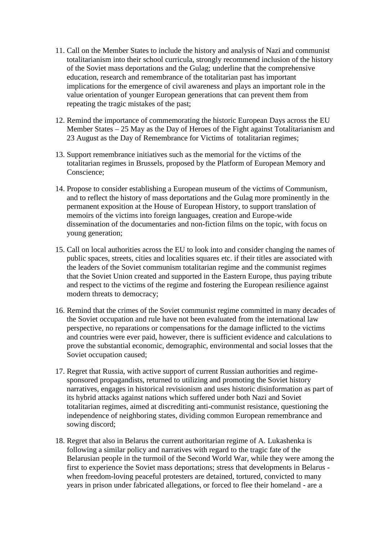- 11. Call on the Member States to include the history and analysis of Nazi and communist totalitarianism into their school curricula, strongly recommend inclusion of the history of the Soviet mass deportations and the Gulag; underline that the comprehensive education, research and remembrance of the totalitarian past has important implications for the emergence of civil awareness and plays an important role in the value orientation of younger European generations that can prevent them from repeating the tragic mistakes of the past;
- 12. Remind the importance of commemorating the historic European Days across the EU Member States – 25 May as the Day of Heroes of the Fight against Totalitarianism and 23 August as the Day of Remembrance for Victims of totalitarian regimes;
- 13. Support remembrance initiatives such as the memorial for the victims of the totalitarian regimes in Brussels, proposed by the Platform of European Memory and Conscience;
- 14. Propose to consider establishing a European museum of the victims of Communism, and to reflect the history of mass deportations and the Gulag more prominently in the permanent exposition at the House of European History, to support translation of memoirs of the victims into foreign languages, creation and Europe-wide dissemination of the documentaries and non-fiction films on the topic, with focus on young generation;
- 15. Call on local authorities across the EU to look into and consider changing the names of public spaces, streets, cities and localities squares etc. if their titles are associated with the leaders of the Soviet communism totalitarian regime and the communist regimes that the Soviet Union created and supported in the Eastern Europe, thus paying tribute and respect to the victims of the regime and fostering the European resilience against modern threats to democracy;
- 16. Remind that the crimes of the Soviet communist regime committed in many decades of the Soviet occupation and rule have not been evaluated from the international law perspective, no reparations or compensations for the damage inflicted to the victims and countries were ever paid, however, there is sufficient evidence and calculations to prove the substantial economic, demographic, environmental and social losses that the Soviet occupation caused;
- 17. Regret that Russia, with active support of current Russian authorities and regime sponsored propagandists, returned to utilizing and promoting the Soviet history narratives, engages in historical revisionism and uses historic disinformation as part of its hybrid attacks against nations which suffered under both Nazi and Soviet totalitarian regimes, aimed at discrediting anti-communist resistance, questioning the independence of neighboring states, dividing common European remembrance and sowing discord;
- 18. Regret that also in Belarus the current authoritarian regime of A. Lukashenka is following a similar policy and narratives with regard to the tragic fate of the Belarusian people in the turmoil of the Second World War, while they were among the first to experience the Soviet mass deportations; stress that developments in Belarus when freedom-loving peaceful protesters are detained, tortured, convicted to many years in prison under fabricated allegations, or forced to flee their homeland - are a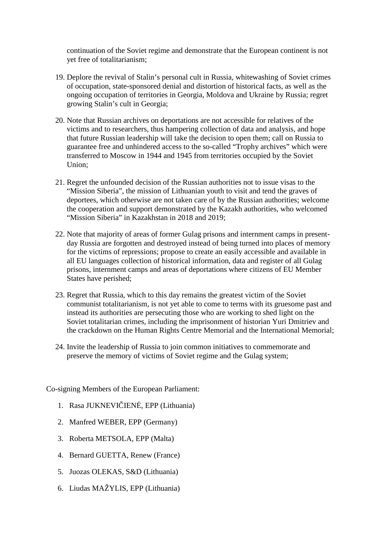continuation of the Soviet regime and demonstrate that the European continent is not yet free of totalitarianism;

- 19. Deplore the revival of Stalin's personal cult in Russia, whitewashing of Soviet crimes of occupation, state-sponsored denial and distortion of historical facts, as well as the ongoing occupation of territories in Georgia, Moldova and Ukraine by Russia; regret growing Stalin's cult in Georgia;
- 20. Note that Russian archives on deportations are not accessible for relatives of the victims and to researchers, thus hampering collection of data and analysis, and hope that future Russian leadership will take the decision to open them; call on Russia to guarantee free and unhindered access to the so-called "Trophy archives" which were transferred to Moscow in 1944 and 1945 from territories occupied by the Soviet Union;
- 21. Regret the unfounded decision of the Russian authorities not to issue visas to the "Mission Siberia", the mission of Lithuanian youth to visit and tend the graves of deportees, which otherwise are not taken care of by the Russian authorities; welcome the cooperation and support demonstrated by the Kazakh authorities, who welcomed "Mission Siberia" in Kazakhstan in 2018 and 2019;
- 22. Note that majority of areas of former Gulag prisons and internment camps in present day Russia are forgotten and destroyed instead of being turned into places of memory for the victims of repressions; propose to create an easily accessible and available in all EU languages collection of historical information, data and register of all Gulag prisons, internment camps and areas of deportations where citizens of EU Member States have perished;
- 23. Regret that Russia, which to this day remains the greatest victim of the Soviet communist totalitarianism, is not yet able to come to terms with its gruesome past and instead its authorities are persecuting those who are working to shed light on the Soviet totalitarian crimes, including the imprisonment of historian Yuri Dmitriev and the crackdown on the Human Rights Centre Memorial and the International Memorial;
- 24. Invite the leadership of Russia to join common initiatives to commemorate and preserve the memory of victims of Soviet regime and the Gulag system;

Co-signing Members of the European Parliament:

- 1. Rasa JUKNEVI IEN, EPP (Lithuania)
- 2. Manfred WEBER, EPP (Germany)
- 3. Roberta METSOLA, EPP (Malta)
- 4. Bernard GUETTA, Renew (France)
- 5. Juozas OLEKAS, S&D (Lithuania)
- 6. Liudas MAŽYLIS, EPP (Lithuania)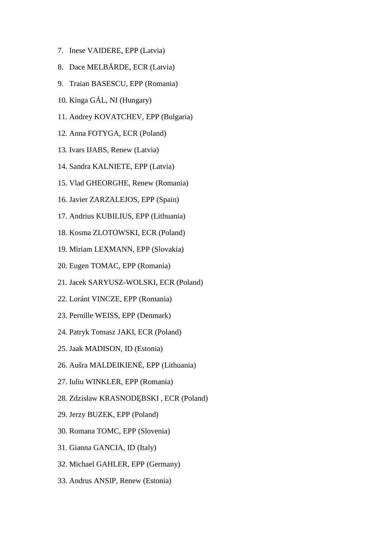- 7. Inese VAIDERE, EPP (Latvia)
- 8. Dace MELB RDE, ECR (Latvia)
- 9. Traian BASESCU, EPP (Romania)
- 10. Kinga GÁL, NI (Hungary)
- 11. Andrey KOVATCHEV, EPP (Bulgaria)
- 12. Anna FOTYGA, ECR (Poland)
- 13. Ivars IJABS, Renew (Latvia)
- 14. Sandra KALNIETE, EPP (Latvia)
- 15. Vlad GHEORGHE, Renew (Romania)
- 16. Javier ZARZALEJOS, EPP (Spain)
- 17. Andrius KUBILIUS, EPP (Lithuania)
- 18. Kosma ZLOTOWSKI, ECR (Poland)
- 19. Miriam LEXMANN, EPP (Slovakia)
- 20. Eugen TOMAC, EPP (Romania)
- 21. Jacek SARYUSZ-WOLSKI, ECR (Poland)
- 22. Loránt VINCZE, EPP (Romania)
- 23. Pernille WEISS, EPP (Denmark)
- 24. Patryk Tomasz JAKI, ECR (Poland)
- 25. Jaak MADISON, ID (Estonia)
- 26. Aušra MALDEIKIEN, EPP (Lithuania)
- 27. Iuliu WINKLER, EPP (Romania)
- 28. Zdzisław KRASNOD BSKI, ECR (Poland)
- 29. Jerzy BUZEK, EPP (Poland)
- 30. Romana TOMC, EPP (Slovenia)
- 31. Gianna GANCIA, ID (Italy)
- 32. Michael GAHLER, EPP (Germany)
- 33. Andrus ANSIP, Renew (Estonia)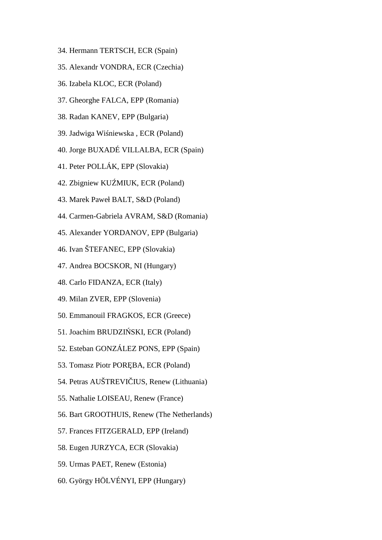- 34. Hermann TERTSCH, ECR (Spain)
- 35. Alexandr VONDRA, ECR (Czechia)
- 36. Izabela KLOC, ECR (Poland)
- 37. Gheorghe FALCA, EPP (Romania)
- 38. Radan KANEV, EPP (Bulgaria)
- 39. Jadwiga Wi niewska, ECR (Poland)
- 40. Jorge BUXADÉ VILLALBA, ECR (Spain)
- 41. Peter POLLÁK, EPP (Slovakia)
- 42. Zbigniew KU MIUK, ECR (Poland)
- 43. Marek Paweł BALT, S&D (Poland)
- 44. Carmen-Gabriela AVRAM, S&D (Romania)
- 45. Alexander YORDANOV, EPP (Bulgaria)
- 46. Ivan ŠTEFANEC, EPP (Slovakia)
- 47. Andrea BOCSKOR, NI (Hungary)
- 48. Carlo FIDANZA, ECR (Italy)
- 49. Milan ZVER, EPP (Slovenia)
- 50. Emmanouil FRAGKOS, ECR (Greece)
- 51. Joachim BRUDZI SKI, ECR (Poland)
- 52. Esteban GONZÁLEZ PONS, EPP (Spain)
- 53. Tomasz Piotr POR BA, ECR (Poland)
- 54. Petras AUŠTREVI IUS, Renew (Lithuania)
- 55. Nathalie LOISEAU, Renew (France)
- 56. Bart GROOTHUIS, Renew (The Netherlands)
- 57. Frances FITZGERALD, EPP (Ireland)
- 58. Eugen JURZYCA, ECR (Slovakia)
- 59. Urmas PAET, Renew (Estonia)
- 60. György HÖLVÉNYI, EPP (Hungary)